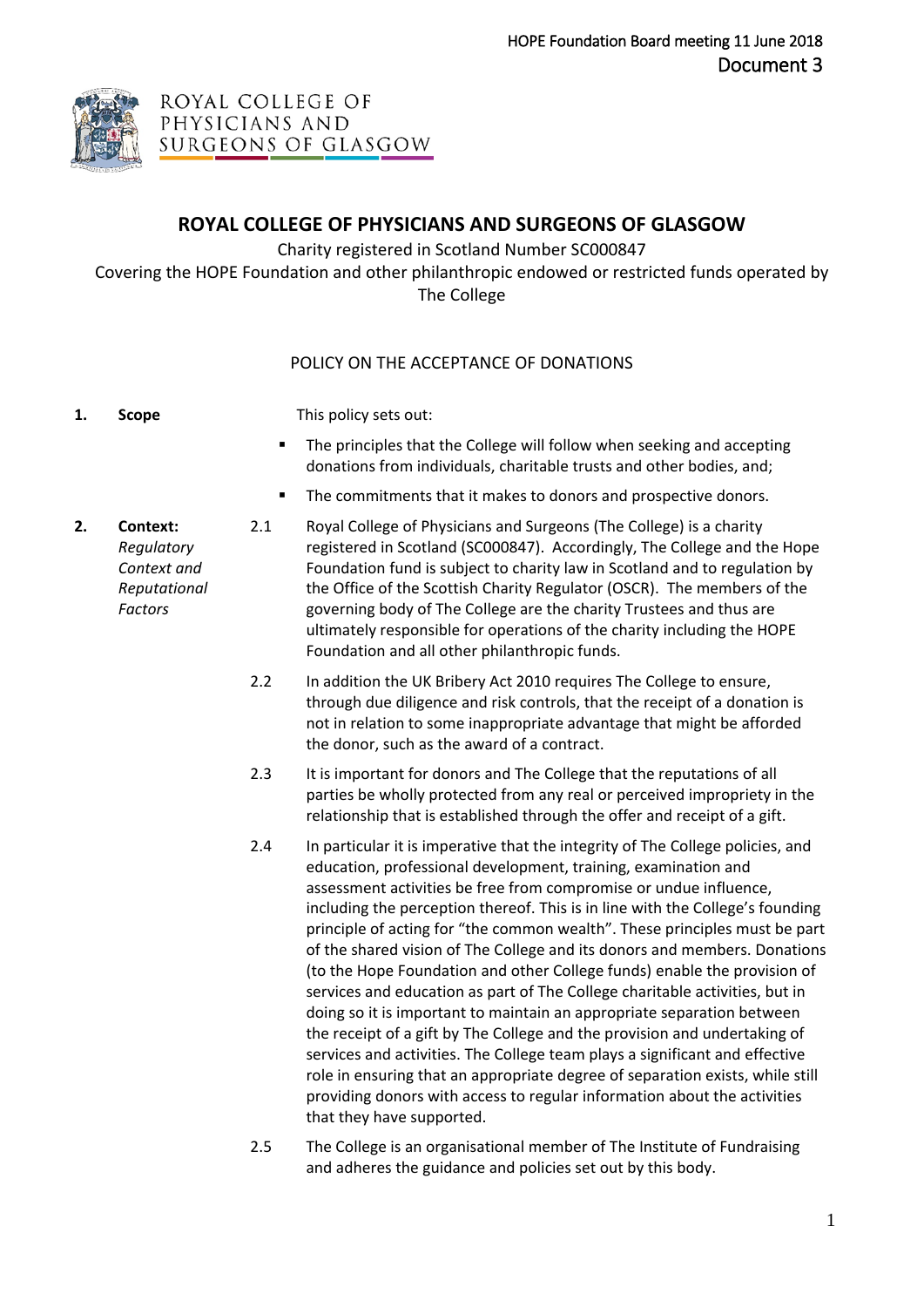

# **ROYAL COLLEGE OF PHYSICIANS AND SURGEONS OF GLASGOW**

Charity registered in Scotland Number SC000847

Covering the HOPE Foundation and other philanthropic endowed or restricted funds operated by The College

## POLICY ON THE ACCEPTANCE OF DONATIONS

**1. Scope** This policy sets out:

- The principles that the College will follow when seeking and accepting donations from individuals, charitable trusts and other bodies, and;
- The commitments that it makes to donors and prospective donors.
- **2. Context:**  *Regulatory Context and Reputational Factors*
- 2.1 Royal College of Physicians and Surgeons (The College) is a charity registered in Scotland (SC000847). Accordingly, The College and the Hope Foundation fund is subject to charity law in Scotland and to regulation by the Office of the Scottish Charity Regulator (OSCR). The members of the governing body of The College are the charity Trustees and thus are ultimately responsible for operations of the charity including the HOPE Foundation and all other philanthropic funds.
	- 2.2 In addition the UK Bribery Act 2010 requires The College to ensure, through due diligence and risk controls, that the receipt of a donation is not in relation to some inappropriate advantage that might be afforded the donor, such as the award of a contract.
	- 2.3 It is important for donors and The College that the reputations of all parties be wholly protected from any real or perceived impropriety in the relationship that is established through the offer and receipt of a gift.
	- 2.4 In particular it is imperative that the integrity of The College policies, and education, professional development, training, examination and assessment activities be free from compromise or undue influence, including the perception thereof. This is in line with the College's founding principle of acting for "the common wealth". These principles must be part of the shared vision of The College and its donors and members. Donations (to the Hope Foundation and other College funds) enable the provision of services and education as part of The College charitable activities, but in doing so it is important to maintain an appropriate separation between the receipt of a gift by The College and the provision and undertaking of services and activities. The College team plays a significant and effective role in ensuring that an appropriate degree of separation exists, while still providing donors with access to regular information about the activities that they have supported.
	- 2.5 The College is an organisational member of The Institute of Fundraising and adheres the guidance and policies set out by this body.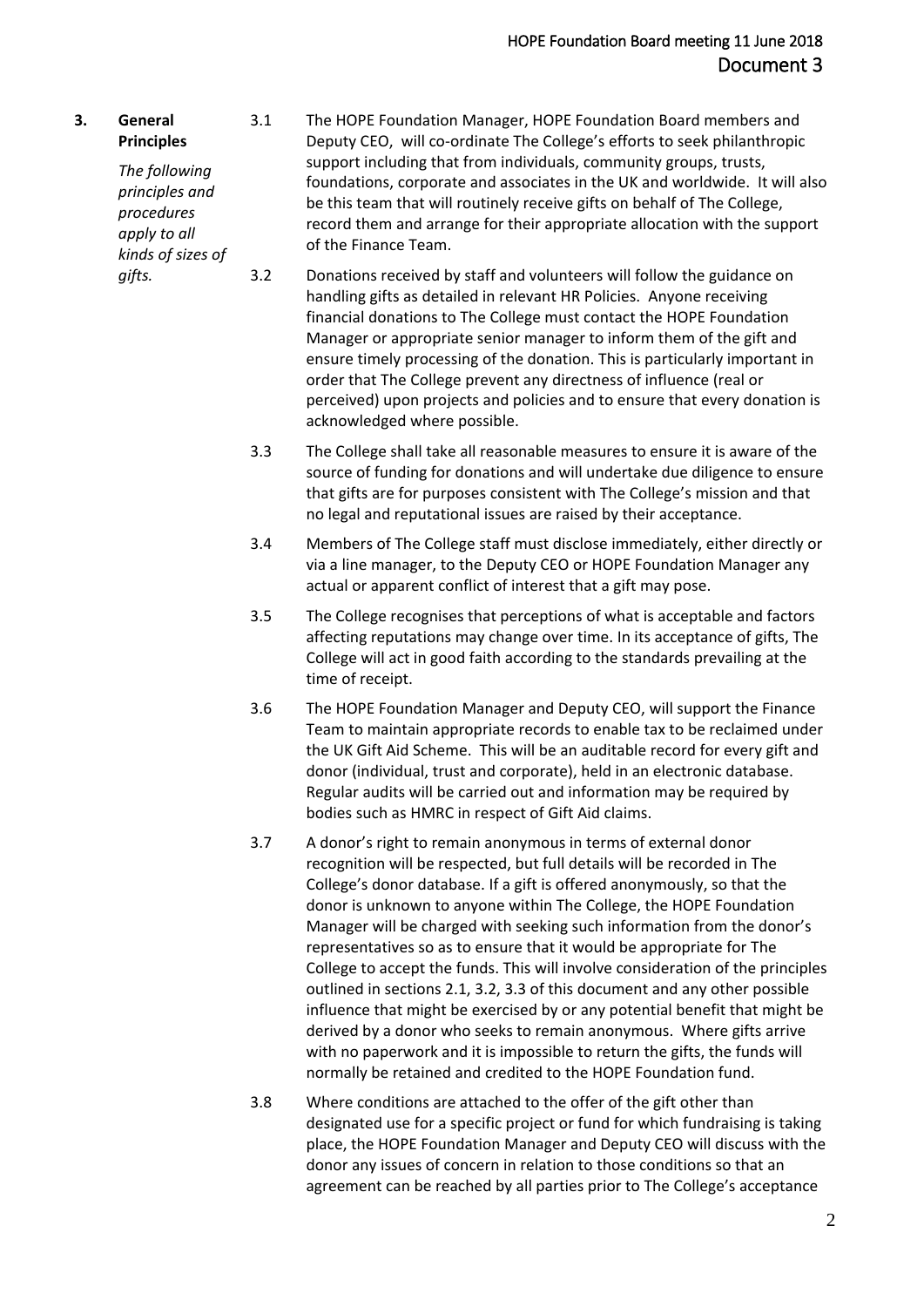**3. General Principles** *The following principles and procedures apply to all kinds of sizes of*  3.1 The HOPE Foundation Manager, HOPE Foundation Board members and Deputy CEO, will co-ordinate The College's efforts to seek philanthropic support including that from individuals, community groups, trusts, foundations, corporate and associates in the UK and worldwide. It will also be this team that will routinely receive gifts on behalf of The College, record them and arrange for their appropriate allocation with the support of the Finance Team.

*gifts.*

- 3.2 Donations received by staff and volunteers will follow the guidance on handling gifts as detailed in relevant HR Policies. Anyone receiving financial donations to The College must contact the HOPE Foundation Manager or appropriate senior manager to inform them of the gift and ensure timely processing of the donation. This is particularly important in order that The College prevent any directness of influence (real or perceived) upon projects and policies and to ensure that every donation is acknowledged where possible.
- 3.3 The College shall take all reasonable measures to ensure it is aware of the source of funding for donations and will undertake due diligence to ensure that gifts are for purposes consistent with The College's mission and that no legal and reputational issues are raised by their acceptance.
- 3.4 Members of The College staff must disclose immediately, either directly or via a line manager, to the Deputy CEO or HOPE Foundation Manager any actual or apparent conflict of interest that a gift may pose.
- 3.5 The College recognises that perceptions of what is acceptable and factors affecting reputations may change over time. In its acceptance of gifts, The College will act in good faith according to the standards prevailing at the time of receipt.
- 3.6 The HOPE Foundation Manager and Deputy CEO, will support the Finance Team to maintain appropriate records to enable tax to be reclaimed under the UK Gift Aid Scheme. This will be an auditable record for every gift and donor (individual, trust and corporate), held in an electronic database. Regular audits will be carried out and information may be required by bodies such as HMRC in respect of Gift Aid claims.
- 3.7 A donor's right to remain anonymous in terms of external donor recognition will be respected, but full details will be recorded in The College's donor database. If a gift is offered anonymously, so that the donor is unknown to anyone within The College, the HOPE Foundation Manager will be charged with seeking such information from the donor's representatives so as to ensure that it would be appropriate for The College to accept the funds. This will involve consideration of the principles outlined in sections 2.1, 3.2, 3.3 of this document and any other possible influence that might be exercised by or any potential benefit that might be derived by a donor who seeks to remain anonymous. Where gifts arrive with no paperwork and it is impossible to return the gifts, the funds will normally be retained and credited to the HOPE Foundation fund.
- 3.8 Where conditions are attached to the offer of the gift other than designated use for a specific project or fund for which fundraising is taking place, the HOPE Foundation Manager and Deputy CEO will discuss with the donor any issues of concern in relation to those conditions so that an agreement can be reached by all parties prior to The College's acceptance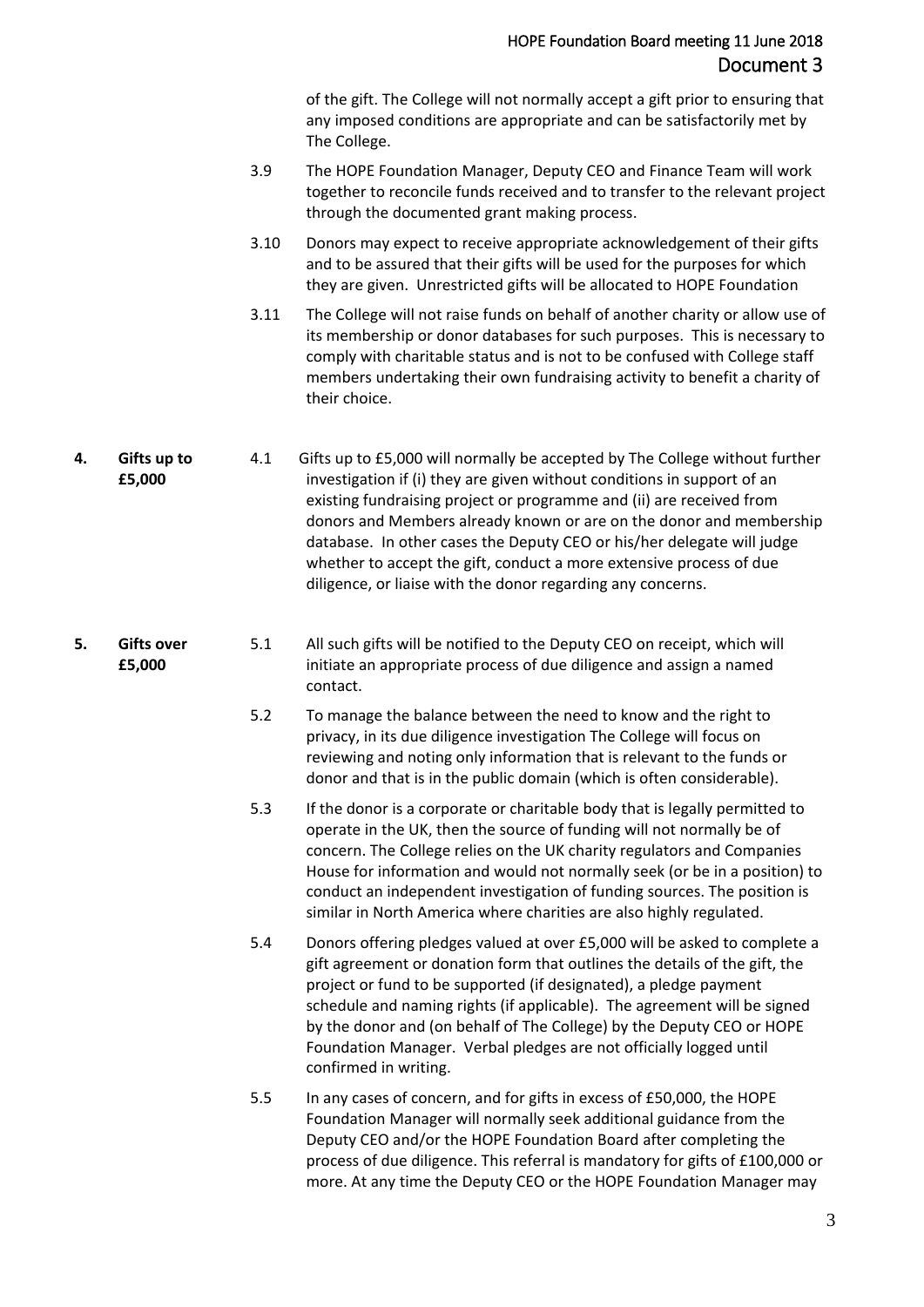of the gift. The College will not normally accept a gift prior to ensuring that any imposed conditions are appropriate and can be satisfactorily met by The College.

- 3.9 The HOPE Foundation Manager, Deputy CEO and Finance Team will work together to reconcile funds received and to transfer to the relevant project through the documented grant making process.
- 3.10 Donors may expect to receive appropriate acknowledgement of their gifts and to be assured that their gifts will be used for the purposes for which they are given. Unrestricted gifts will be allocated to HOPE Foundation
- 3.11 The College will not raise funds on behalf of another charity or allow use of its membership or donor databases for such purposes. This is necessary to comply with charitable status and is not to be confused with College staff members undertaking their own fundraising activity to benefit a charity of their choice.
- **4. Gifts up to £5,000** 4.1 Gifts up to £5,000 will normally be accepted by The College without further investigation if (i) they are given without conditions in support of an existing fundraising project or programme and (ii) are received from donors and Members already known or are on the donor and membership database. In other cases the Deputy CEO or his/her delegate will judge whether to accept the gift, conduct a more extensive process of due diligence, or liaise with the donor regarding any concerns.

#### **5. Gifts over £5,000**

- 5.1 All such gifts will be notified to the Deputy CEO on receipt, which will initiate an appropriate process of due diligence and assign a named contact.
- 5.2 To manage the balance between the need to know and the right to privacy, in its due diligence investigation The College will focus on reviewing and noting only information that is relevant to the funds or donor and that is in the public domain (which is often considerable).
- 5.3 If the donor is a corporate or charitable body that is legally permitted to operate in the UK, then the source of funding will not normally be of concern. The College relies on the UK charity regulators and Companies House for information and would not normally seek (or be in a position) to conduct an independent investigation of funding sources. The position is similar in North America where charities are also highly regulated.
- 5.4 Donors offering pledges valued at over £5,000 will be asked to complete a gift agreement or donation form that outlines the details of the gift, the project or fund to be supported (if designated), a pledge payment schedule and naming rights (if applicable). The agreement will be signed by the donor and (on behalf of The College) by the Deputy CEO or HOPE Foundation Manager. Verbal pledges are not officially logged until confirmed in writing.
- 5.5 In any cases of concern, and for gifts in excess of £50,000, the HOPE Foundation Manager will normally seek additional guidance from the Deputy CEO and/or the HOPE Foundation Board after completing the process of due diligence. This referral is mandatory for gifts of £100,000 or more. At any time the Deputy CEO or the HOPE Foundation Manager may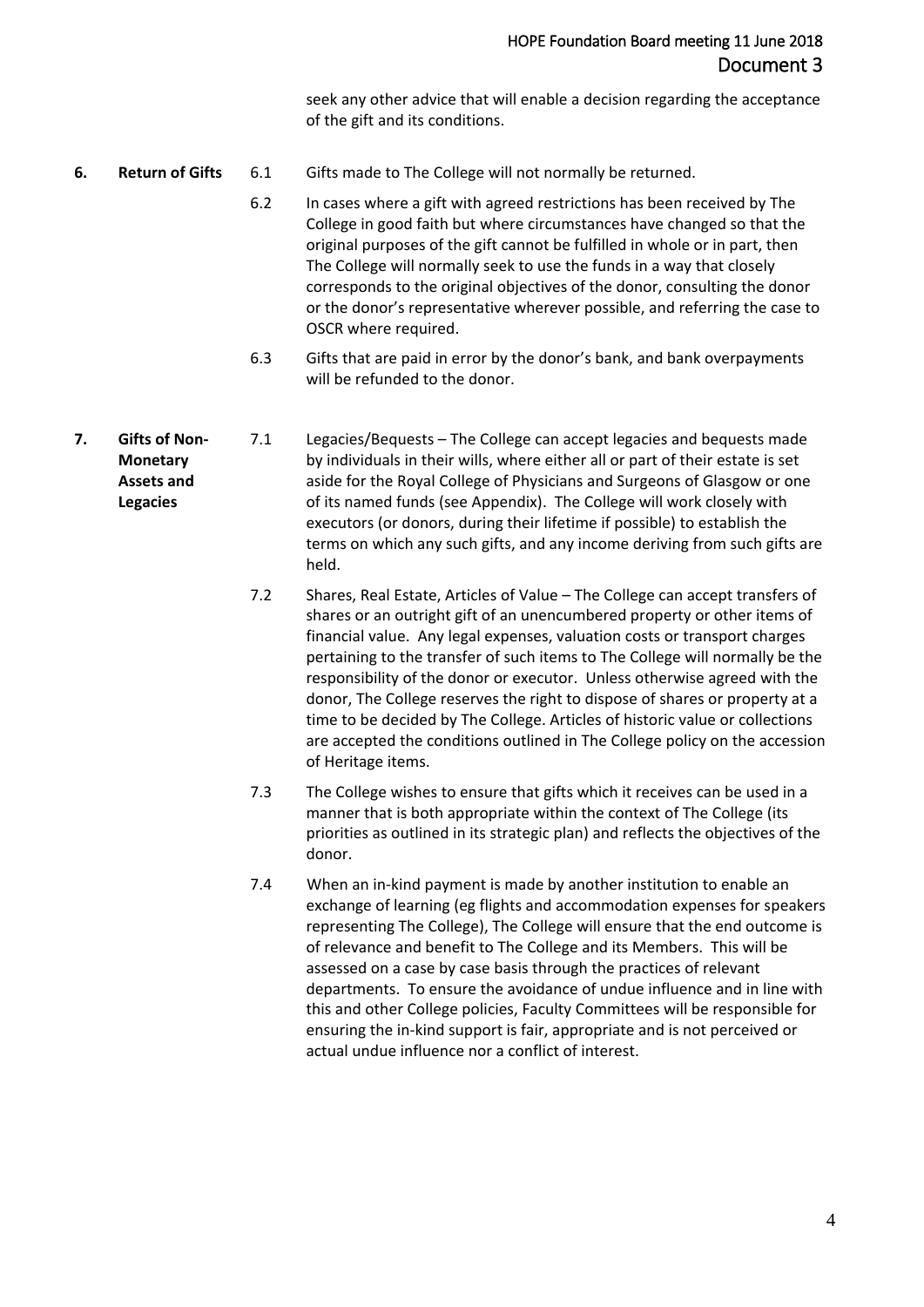seek any other advice that will enable a decision regarding the acceptance of the gift and its conditions.

- **6. Return of Gifts** 6.1 Gifts made to The College will not normally be returned.
	- 6.2 In cases where a gift with agreed restrictions has been received by The College in good faith but where circumstances have changed so that the original purposes of the gift cannot be fulfilled in whole or in part, then The College will normally seek to use the funds in a way that closely corresponds to the original objectives of the donor, consulting the donor or the donor's representative wherever possible, and referring the case to OSCR where required.
	- 6.3 Gifts that are paid in error by the donor's bank, and bank overpayments will be refunded to the donor.
- **7. Gifts of Non-Monetary Assets and Legacies** 7.1 Legacies/Bequests – The College can accept legacies and bequests made by individuals in their wills, where either all or part of their estate is set aside for the Royal College of Physicians and Surgeons of Glasgow or one of its named funds (see Appendix). The College will work closely with executors (or donors, during their lifetime if possible) to establish the terms on which any such gifts, and any income deriving from such gifts are held.
	- 7.2 Shares, Real Estate, Articles of Value The College can accept transfers of shares or an outright gift of an unencumbered property or other items of financial value. Any legal expenses, valuation costs or transport charges pertaining to the transfer of such items to The College will normally be the responsibility of the donor or executor. Unless otherwise agreed with the donor, The College reserves the right to dispose of shares or property at a time to be decided by The College. Articles of historic value or collections are accepted the conditions outlined in The College policy on the accession of Heritage items.
	- 7.3 The College wishes to ensure that gifts which it receives can be used in a manner that is both appropriate within the context of The College (its priorities as outlined in its strategic plan) and reflects the objectives of the donor.
	- 7.4 When an in-kind payment is made by another institution to enable an exchange of learning (eg flights and accommodation expenses for speakers representing The College), The College will ensure that the end outcome is of relevance and benefit to The College and its Members. This will be assessed on a case by case basis through the practices of relevant departments. To ensure the avoidance of undue influence and in line with this and other College policies, Faculty Committees will be responsible for ensuring the in-kind support is fair, appropriate and is not perceived or actual undue influence nor a conflict of interest.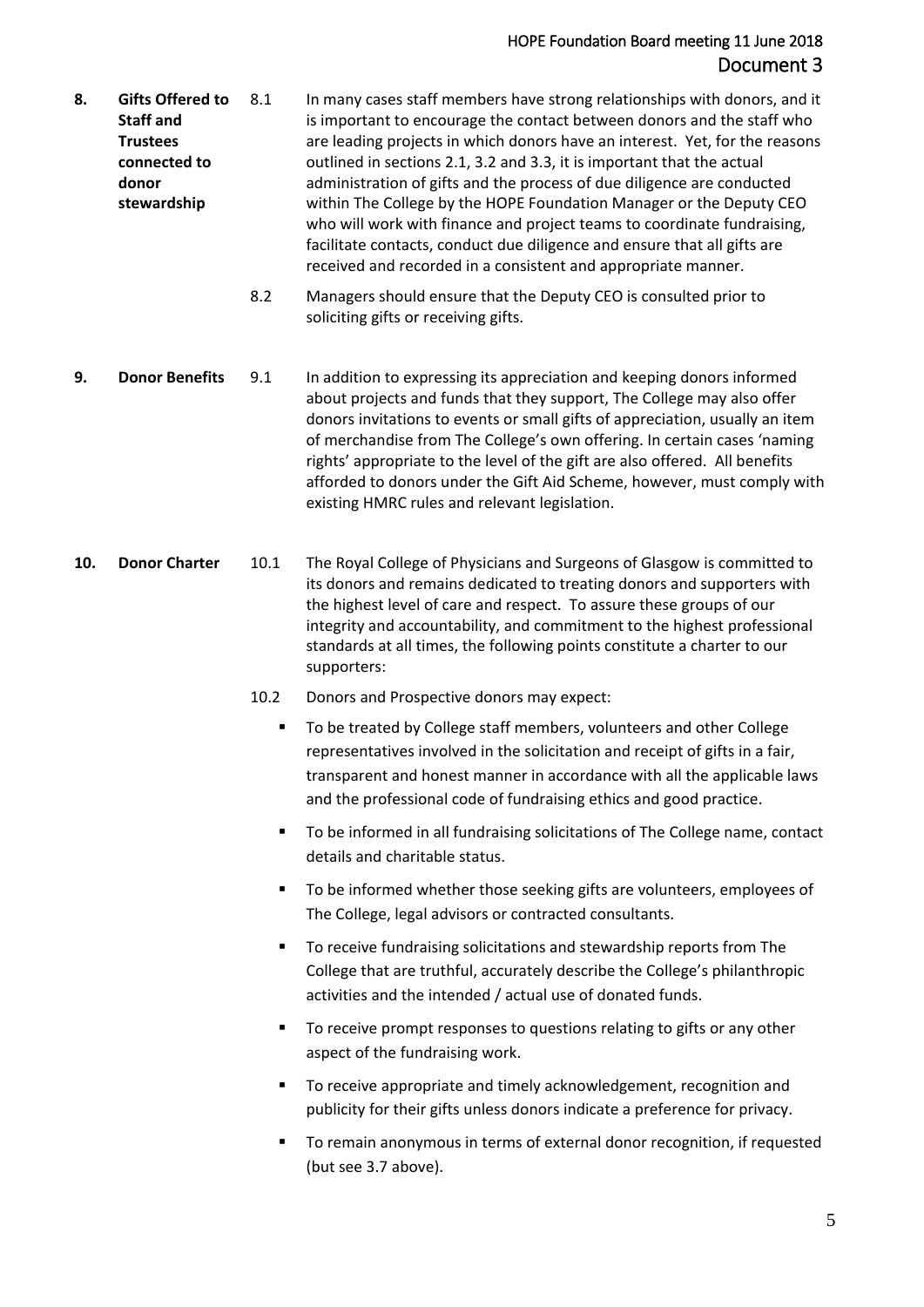### HOPE Foundation Board meeting 11 June 2018 Document 3

- **8. Gifts Offered to Staff and Trustees connected to donor stewardship** 8.1 In many cases staff members have strong relationships with donors, and it is important to encourage the contact between donors and the staff who are leading projects in which donors have an interest. Yet, for the reasons outlined in sections 2.1, 3.2 and 3.3, it is important that the actual administration of gifts and the process of due diligence are conducted within The College by the HOPE Foundation Manager or the Deputy CEO who will work with finance and project teams to coordinate fundraising, facilitate contacts, conduct due diligence and ensure that all gifts are received and recorded in a consistent and appropriate manner.
	- 8.2 Managers should ensure that the Deputy CEO is consulted prior to soliciting gifts or receiving gifts.
- **9. Donor Benefits** 9.1 In addition to expressing its appreciation and keeping donors informed about projects and funds that they support, The College may also offer donors invitations to events or small gifts of appreciation, usually an item of merchandise from The College's own offering. In certain cases 'naming rights' appropriate to the level of the gift are also offered. All benefits afforded to donors under the Gift Aid Scheme, however, must comply with existing HMRC rules and relevant legislation.
- **10. Donor Charter** 10.1 The Royal College of Physicians and Surgeons of Glasgow is committed to its donors and remains dedicated to treating donors and supporters with the highest level of care and respect. To assure these groups of our integrity and accountability, and commitment to the highest professional standards at all times, the following points constitute a charter to our supporters:
	- 10.2 Donors and Prospective donors may expect:
		- To be treated by College staff members, volunteers and other College representatives involved in the solicitation and receipt of gifts in a fair, transparent and honest manner in accordance with all the applicable laws and the professional code of fundraising ethics and good practice.
		- To be informed in all fundraising solicitations of The College name, contact details and charitable status.
		- To be informed whether those seeking gifts are volunteers, employees of The College, legal advisors or contracted consultants.
		- To receive fundraising solicitations and stewardship reports from The College that are truthful, accurately describe the College's philanthropic activities and the intended / actual use of donated funds.
		- To receive prompt responses to questions relating to gifts or any other aspect of the fundraising work.
		- To receive appropriate and timely acknowledgement, recognition and publicity for their gifts unless donors indicate a preference for privacy.
		- To remain anonymous in terms of external donor recognition, if requested (but see 3.7 above).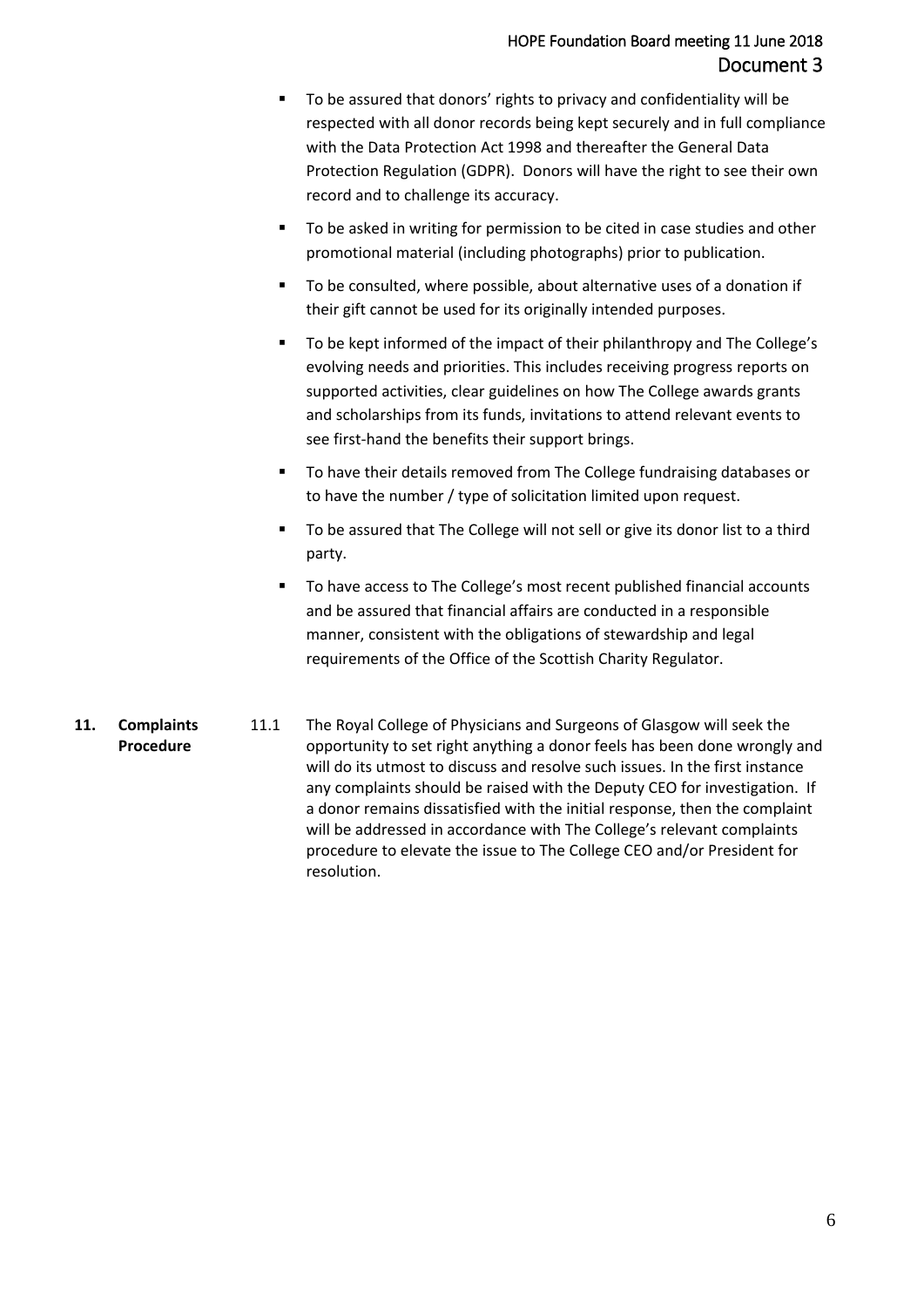- To be assured that donors' rights to privacy and confidentiality will be respected with all donor records being kept securely and in full compliance with the Data Protection Act 1998 and thereafter the General Data Protection Regulation (GDPR). Donors will have the right to see their own record and to challenge its accuracy.
- To be asked in writing for permission to be cited in case studies and other promotional material (including photographs) prior to publication.
- To be consulted, where possible, about alternative uses of a donation if their gift cannot be used for its originally intended purposes.
- To be kept informed of the impact of their philanthropy and The College's evolving needs and priorities. This includes receiving progress reports on supported activities, clear guidelines on how The College awards grants and scholarships from its funds, invitations to attend relevant events to see first-hand the benefits their support brings.
- To have their details removed from The College fundraising databases or to have the number / type of solicitation limited upon request.
- To be assured that The College will not sell or give its donor list to a third party.
- To have access to The College's most recent published financial accounts and be assured that financial affairs are conducted in a responsible manner, consistent with the obligations of stewardship and legal requirements of the Office of the Scottish Charity Regulator.
- **11. Complaints Procedure** 11.1 The Royal College of Physicians and Surgeons of Glasgow will seek the opportunity to set right anything a donor feels has been done wrongly and will do its utmost to discuss and resolve such issues. In the first instance any complaints should be raised with the Deputy CEO for investigation. If a donor remains dissatisfied with the initial response, then the complaint will be addressed in accordance with The College's relevant complaints procedure to elevate the issue to The College CEO and/or President for resolution.